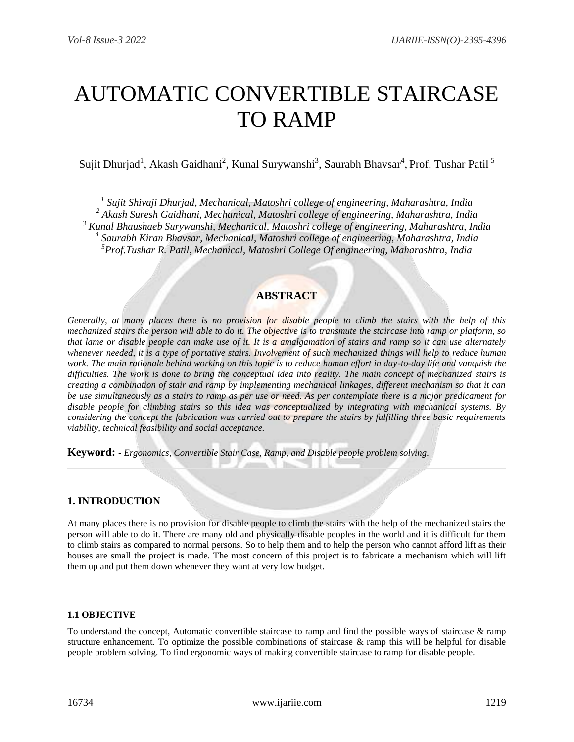# AUTOMATIC CONVERTIBLE STAIRCASE TO RAMP

Sujit Dhurjad<sup>1</sup>, Akash Gaidhani<sup>2</sup>, Kunal Surywanshi<sup>3</sup>, Saurabh Bhavsar<sup>4</sup>, Prof. Tushar Patil<sup>5</sup>

 *Sujit Shivaji Dhurjad, Mechanical, Matoshri college of engineering, Maharashtra, India Akash Suresh Gaidhani, Mechanical, Matoshri college of engineering, Maharashtra, India Kunal Bhaushaeb Surywanshi, Mechanical, Matoshri college of engineering, Maharashtra, India Saurabh Kiran Bhavsar, Mechanical, Matoshri college of engineering, Maharashtra, India Prof.Tushar R. Patil, Mechanical, Matoshri College Of engineering, Maharashtra, India*

# **ABSTRACT**

*Generally, at many places there is no provision for disable people to climb the stairs with the help of this mechanized stairs the person will able to do it. The objective is to transmute the staircase into ramp or platform, so that lame or disable people can make use of it. It is a amalgamation of stairs and ramp so it can use alternately whenever needed, it is a type of portative stairs. Involvement of such mechanized things will help to reduce human*  work. The main rationale behind working on this topic is to reduce human effort in day-to-day life and vanquish the *difficulties. The work is done to bring the conceptual idea into reality. The main concept of mechanized stairs is creating a combination of stair and ramp by implementing mechanical linkages, different mechanism so that it can be use simultaneously as a stairs to ramp as per use or need. As per contemplate there is a major predicament for disable people for climbing stairs so this idea was conceptualized by integrating with mechanical systems. By considering the concept the fabrication was carried out to prepare the stairs by fulfilling three basic requirements viability, technical feasibility and social acceptance.* 

**Keyword: -** *Ergonomics, Convertible Stair Case, Ramp, and Disable people problem solving.*

## **1. INTRODUCTION**

At many places there is no provision for disable people to climb the stairs with the help of the mechanized stairs the person will able to do it. There are many old and physically disable peoples in the world and it is difficult for them to climb stairs as compared to normal persons. So to help them and to help the person who cannot afford lift as their houses are small the project is made. The most concern of this project is to fabricate a mechanism which will lift them up and put them down whenever they want at very low budget.

#### **1.1 OBJECTIVE**

To understand the concept, Automatic convertible staircase to ramp and find the possible ways of staircase & ramp structure enhancement. To optimize the possible combinations of staircase  $\&$  ramp this will be helpful for disable people problem solving. To find ergonomic ways of making convertible staircase to ramp for disable people.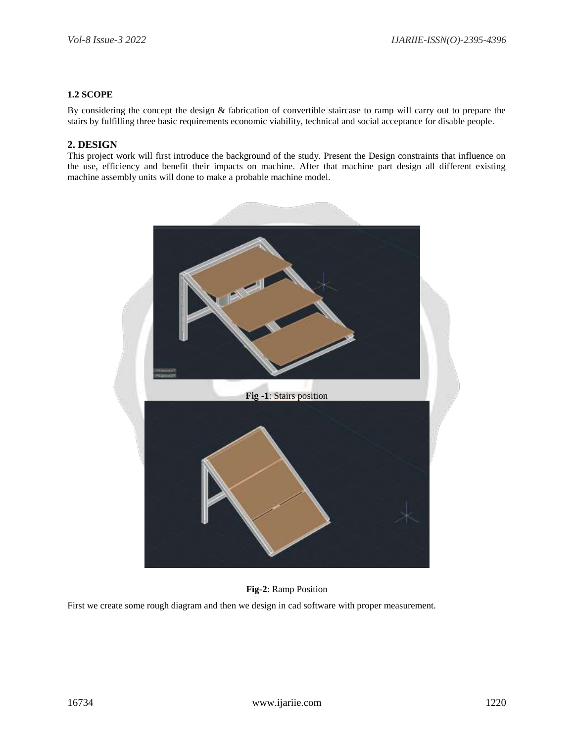#### **1.2 SCOPE**

By considering the concept the design & fabrication of convertible staircase to ramp will carry out to prepare the stairs by fulfilling three basic requirements economic viability, technical and social acceptance for disable people.

### **2. DESIGN**

This project work will first introduce the background of the study. Present the Design constraints that influence on the use, efficiency and benefit their impacts on machine. After that machine part design all different existing machine assembly units will done to make a probable machine model.



#### **Fig-2**: Ramp Position

First we create some rough diagram and then we design in cad software with proper measurement.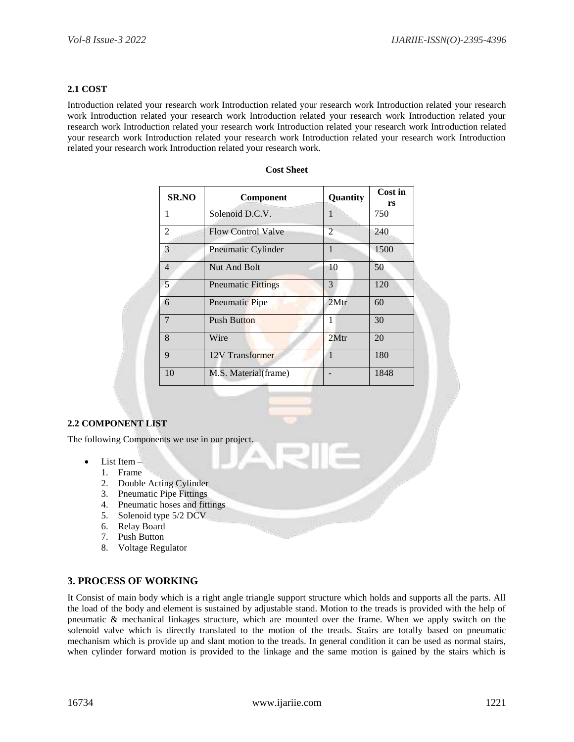#### **2.1 COST**

Introduction related your research work Introduction related your research work Introduction related your research work Introduction related your research work Introduction related your research work Introduction related your research work Introduction related your research work Introduction related your research work Introduction related your research work Introduction related your research work Introduction related your research work Introduction related your research work Introduction related your research work.

| <b>SR.NO</b>   | Component                  | Quantity       | Cost in<br>rs |
|----------------|----------------------------|----------------|---------------|
| 1              | Solenoid D.C.V.            | 1              | 750           |
| 2              | <b>Flow Control Valve</b>  | $\mathfrak{D}$ | 240           |
| 3              | Pneumatic Cylinder         | $\mathbf{1}$   | 1500          |
| $\overline{4}$ | Nut And Bolt               | 10             | 50            |
| 5              | <b>P</b> neumatic Fittings | 3              | 120           |
| 6              | Pneumatic Pipe             | 2Mtr           | 60            |
| 7              | <b>Push Button</b>         | 1              | 30            |
| 8              | Wire                       | 2Mtr           | 20            |
| $\mathbf{Q}$   | 12V Transformer            | $\mathbf{1}$   | 180           |
| 10             | M.S. Material(frame)       |                | 1848          |

#### **Cost Sheet**

#### **2.2 COMPONENT LIST**

The following Components we use in our project.

- $\bullet$  List Item
	- 1. Frame
	- 2. Double Acting Cylinder
	- 3. Pneumatic Pipe Fittings
	- 4. Pneumatic hoses and fittings
	- 5. Solenoid type 5/2 DCV
	- 6. Relay Board
	- 7. Push Button
	- 8. Voltage Regulator

#### **3. PROCESS OF WORKING**

It Consist of main body which is a right angle triangle support structure which holds and supports all the parts. All the load of the body and element is sustained by adjustable stand. Motion to the treads is provided with the help of pneumatic & mechanical linkages structure, which are mounted over the frame. When we apply switch on the solenoid valve which is directly translated to the motion of the treads. Stairs are totally based on pneumatic mechanism which is provide up and slant motion to the treads. In general condition it can be used as normal stairs, when cylinder forward motion is provided to the linkage and the same motion is gained by the stairs which is